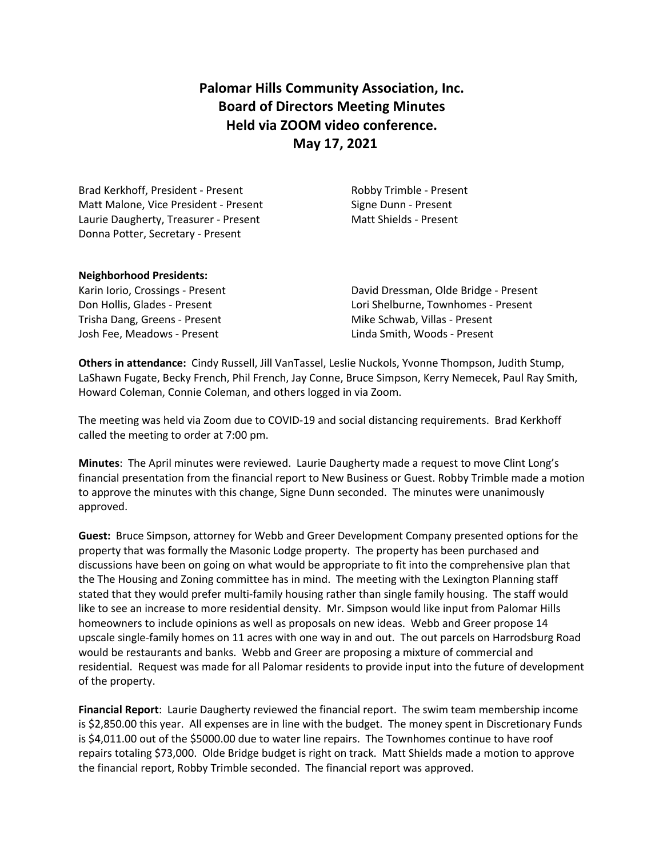# **Palomar Hills Community Association, Inc. Board of Directors Meeting Minutes Held via ZOOM video conference. May 17, 2021**

Brad Kerkhoff, President - Present Robby Trimble - Present Matt Malone, Vice President - Present Signe Dunn - Present Laurie Daugherty, Treasurer - Present Matt Shields - Present Donna Potter, Secretary - Present

### **Neighborhood Presidents:**

Trisha Dang, Greens - Present Mike Schwab, Villas - Present Josh Fee, Meadows - Present Linda Smith, Woods - Present

Karin Iorio, Crossings - Present **David Dressman, Olde Bridge - Present** Don Hollis, Glades - Present Lori Shelburne, Townhomes - Present

**Others in attendance:** Cindy Russell, Jill VanTassel, Leslie Nuckols, Yvonne Thompson, Judith Stump, LaShawn Fugate, Becky French, Phil French, Jay Conne, Bruce Simpson, Kerry Nemecek, Paul Ray Smith, Howard Coleman, Connie Coleman, and others logged in via Zoom.

The meeting was held via Zoom due to COVID-19 and social distancing requirements. Brad Kerkhoff called the meeting to order at 7:00 pm.

**Minutes**: The April minutes were reviewed. Laurie Daugherty made a request to move Clint Long's financial presentation from the financial report to New Business or Guest. Robby Trimble made a motion to approve the minutes with this change, Signe Dunn seconded. The minutes were unanimously approved.

**Guest:** Bruce Simpson, attorney for Webb and Greer Development Company presented options for the property that was formally the Masonic Lodge property. The property has been purchased and discussions have been on going on what would be appropriate to fit into the comprehensive plan that the The Housing and Zoning committee has in mind. The meeting with the Lexington Planning staff stated that they would prefer multi-family housing rather than single family housing. The staff would like to see an increase to more residential density. Mr. Simpson would like input from Palomar Hills homeowners to include opinions as well as proposals on new ideas. Webb and Greer propose 14 upscale single-family homes on 11 acres with one way in and out. The out parcels on Harrodsburg Road would be restaurants and banks. Webb and Greer are proposing a mixture of commercial and residential. Request was made for all Palomar residents to provide input into the future of development of the property.

**Financial Report**: Laurie Daugherty reviewed the financial report. The swim team membership income is \$2,850.00 this year. All expenses are in line with the budget. The money spent in Discretionary Funds is \$4,011.00 out of the \$5000.00 due to water line repairs. The Townhomes continue to have roof repairs totaling \$73,000. Olde Bridge budget is right on track. Matt Shields made a motion to approve the financial report, Robby Trimble seconded. The financial report was approved.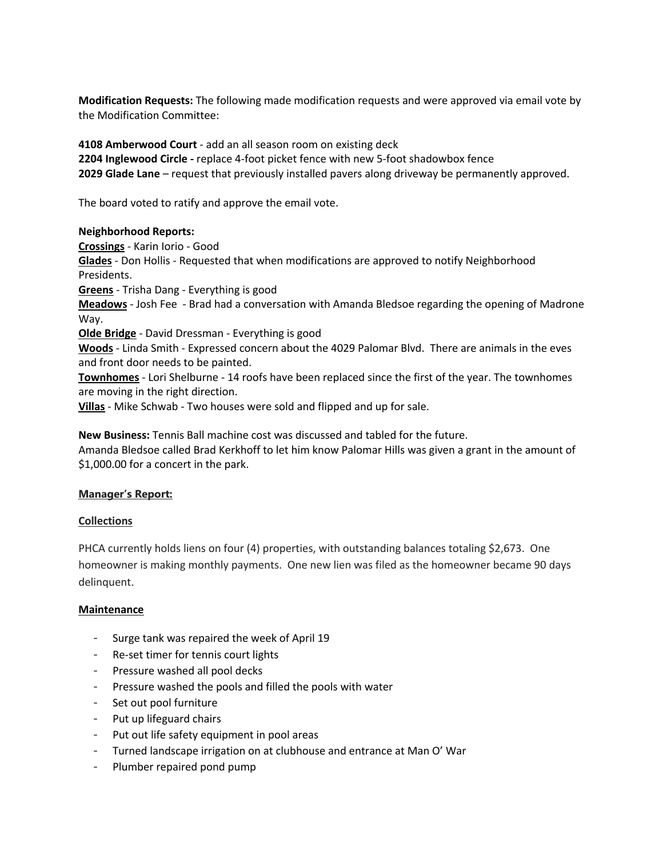**Modification Requests:** The following made modification requests and were approved via email vote by the Modification Committee:

**4108 Amberwood Court** - add an all season room on existing deck **2204 Inglewood Circle -** replace 4-foot picket fence with new 5-foot shadowbox fence **2029 Glade Lane** – request that previously installed pavers along driveway be permanently approved.

The board voted to ratify and approve the email vote.

### **Neighborhood Reports:**

**Crossings** - Karin Iorio - Good **Glades** - Don Hollis - Requested that when modifications are approved to notify Neighborhood Presidents. **Greens** - Trisha Dang - Everything is good **Meadows** - Josh Fee - Brad had a conversation with Amanda Bledsoe regarding the opening of Madrone Way. **Olde Bridge** - David Dressman - Everything is good **Woods** - Linda Smith - Expressed concern about the 4029 Palomar Blvd. There are animals in the eves and front door needs to be painted. **Townhomes** - Lori Shelburne - 14 roofs have been replaced since the first of the year. The townhomes are moving in the right direction. **Villas** - Mike Schwab - Two houses were sold and flipped and up for sale.

**New Business:** Tennis Ball machine cost was discussed and tabled for the future. Amanda Bledsoe called Brad Kerkhoff to let him know Palomar Hills was given a grant in the amount of \$1,000.00 for a concert in the park.

# **Manager's Report:**

## **Collections**

PHCA currently holds liens on four (4) properties, with outstanding balances totaling \$2,673. One homeowner is making monthly payments. One new lien was filed as the homeowner became 90 days delinquent.

## **Maintenance**

- Surge tank was repaired the week of April 19
- Re-set timer for tennis court lights
- Pressure washed all pool decks
- Pressure washed the pools and filled the pools with water
- Set out pool furniture
- Put up lifeguard chairs
- Put out life safety equipment in pool areas
- Turned landscape irrigation on at clubhouse and entrance at Man O' War
- Plumber repaired pond pump